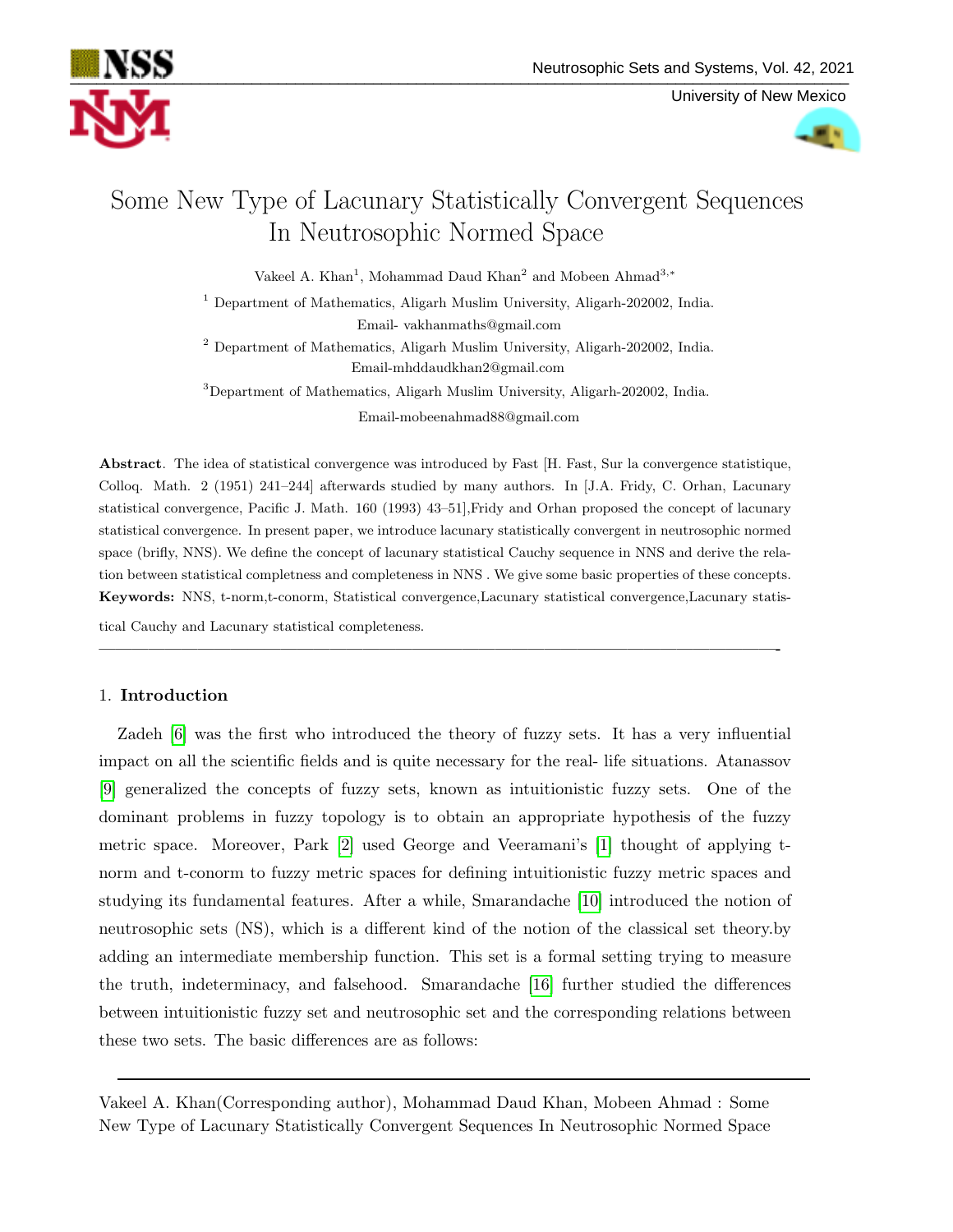

University of New Mexico



# Some New Type of Lacunary Statistically Convergent Sequences In Neutrosophic Normed Space

Vakeel A. Khan<sup>1</sup>, Mohammad Daud Khan<sup>2</sup> and Mobeen Ahmad<sup>3,\*</sup>

<sup>1</sup> Department of Mathematics, Aligarh Muslim University, Aligarh-202002, India. Email- vakhanmaths@gmail.com

<sup>2</sup> Department of Mathematics, Aligarh Muslim University, Aligarh-202002, India. Email-mhddaudkhan2@gmail.com

<sup>3</sup>Department of Mathematics, Aligarh Muslim University, Aligarh-202002, India.

Email-mobeenahmad88@gmail.com

Abstract. The idea of statistical convergence was introduced by Fast [H. Fast, Sur la convergence statistique, Colloq. Math. 2 (1951) 241–244] afterwards studied by many authors. In [J.A. Fridy, C. Orhan, Lacunary statistical convergence, Pacific J. Math. 160 (1993) 43–51],Fridy and Orhan proposed the concept of lacunary statistical convergence. In present paper, we introduce lacunary statistically convergent in neutrosophic normed space (brifly, NNS). We define the concept of lacunary statistical Cauchy sequence in NNS and derive the relation between statistical completness and completeness in NNS . We give some basic properties of these concepts. Keywords: NNS, t-norm,t-conorm, Statistical convergence,Lacunary statistical convergence,Lacunary statis-

—————————————————————————————————————————-

tical Cauchy and Lacunary statistical completeness.

## 1. Introduction

Zadeh [\[6\]](#page-12-0) was the first who introduced the theory of fuzzy sets. It has a very influential impact on all the scientific fields and is quite necessary for the real- life situations. Atanassov [\[9\]](#page-12-1) generalized the concepts of fuzzy sets, known as intuitionistic fuzzy sets. One of the dominant problems in fuzzy topology is to obtain an appropriate hypothesis of the fuzzy metric space. Moreover, Park [\[2\]](#page-12-2) used George and Veeramani's [\[1\]](#page-12-3) thought of applying tnorm and t-conorm to fuzzy metric spaces for defining intuitionistic fuzzy metric spaces and studying its fundamental features. After a while, Smarandache [\[10\]](#page-12-4) introduced the notion of neutrosophic sets (NS), which is a different kind of the notion of the classical set theory.by adding an intermediate membership function. This set is a formal setting trying to measure the truth, indeterminacy, and falsehood. Smarandache [\[16\]](#page-12-5) further studied the differences between intuitionistic fuzzy set and neutrosophic set and the corresponding relations between these two sets. The basic differences are as follows:

Vakeel A. Khan(Corresponding author), Mohammad Daud Khan, Mobeen Ahmad : Some New Type of Lacunary Statistically Convergent Sequences In Neutrosophic Normed Space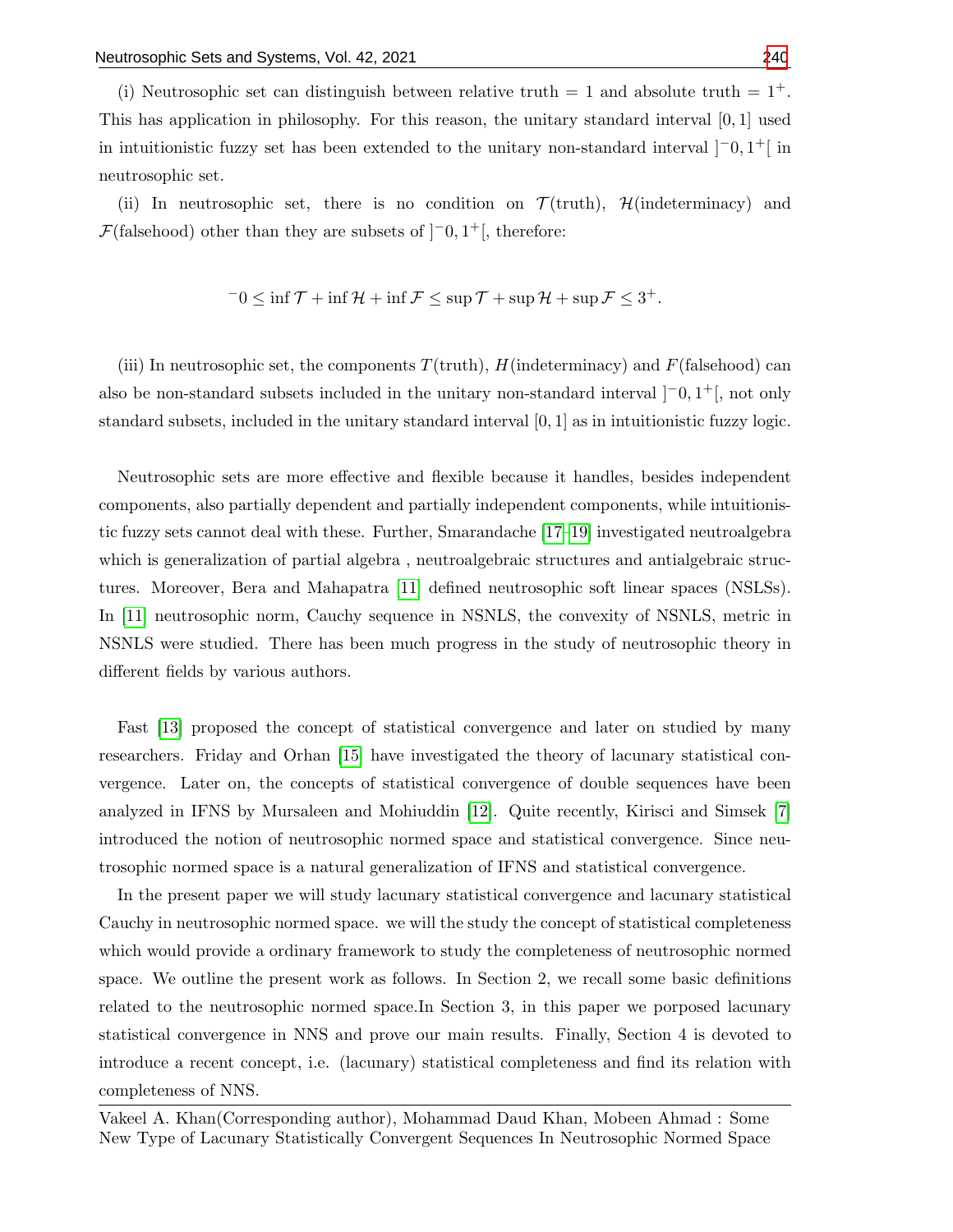(i) Neutrosophic set can distinguish between relative truth  $= 1$  and absolute truth  $= 1<sup>+</sup>$ . This has application in philosophy. For this reason, the unitary standard interval  $[0,1]$  used in intuitionistic fuzzy set has been extended to the unitary non-standard interval  $[-0,1]$  in neutrosophic set.

(ii) In neutrosophic set, there is no condition on  $\mathcal{T}$ (truth),  $\mathcal{H}$ (indeterminacy) and  $\mathcal{F}$ (falsehood) other than they are subsets of  $]$ <sup>-</sup>0, 1<sup>+</sup>[, therefore:

$$
-0 \le \inf \mathcal{T} + \inf \mathcal{H} + \inf \mathcal{F} \le \sup \mathcal{T} + \sup \mathcal{H} + \sup \mathcal{F} \le 3^+.
$$

(iii) In neutrosophic set, the components  $T(\text{truth})$ ,  $H(\text{indeterminacy})$  and  $F(\text{falsehood})$  can also be non-standard subsets included in the unitary non-standard interval  $[-0,1^+]$ , not only standard subsets, included in the unitary standard interval [0, 1] as in intuitionistic fuzzy logic.

Neutrosophic sets are more effective and flexible because it handles, besides independent components, also partially dependent and partially independent components, while intuitionistic fuzzy sets cannot deal with these. Further, Smarandache [\[17–](#page-12-6)[19\]](#page-13-1) investigated neutroalgebra which is generalization of partial algebra, neutroalgebraic structures and antialgebraic structures. Moreover, Bera and Mahapatra [\[11\]](#page-12-7) defined neutrosophic soft linear spaces (NSLSs). In [\[11\]](#page-12-7) neutrosophic norm, Cauchy sequence in NSNLS, the convexity of NSNLS, metric in NSNLS were studied. There has been much progress in the study of neutrosophic theory in different fields by various authors.

Fast [\[13\]](#page-12-8) proposed the concept of statistical convergence and later on studied by many researchers. Friday and Orhan [\[15\]](#page-12-9) have investigated the theory of lacunary statistical convergence. Later on, the concepts of statistical convergence of double sequences have been analyzed in IFNS by Mursaleen and Mohiuddin [\[12\]](#page-12-10). Quite recently, Kirisci and Simsek [\[7\]](#page-12-11) introduced the notion of neutrosophic normed space and statistical convergence. Since neutrosophic normed space is a natural generalization of IFNS and statistical convergence.

In the present paper we will study lacunary statistical convergence and lacunary statistical Cauchy in neutrosophic normed space. we will the study the concept of statistical completeness which would provide a ordinary framework to study the completeness of neutrosophic normed space. We outline the present work as follows. In Section 2, we recall some basic definitions related to the neutrosophic normed space.In Section 3, in this paper we porposed lacunary statistical convergence in NNS and prove our main results. Finally, Section 4 is devoted to introduce a recent concept, i.e. (lacunary) statistical completeness and find its relation with completeness of NNS.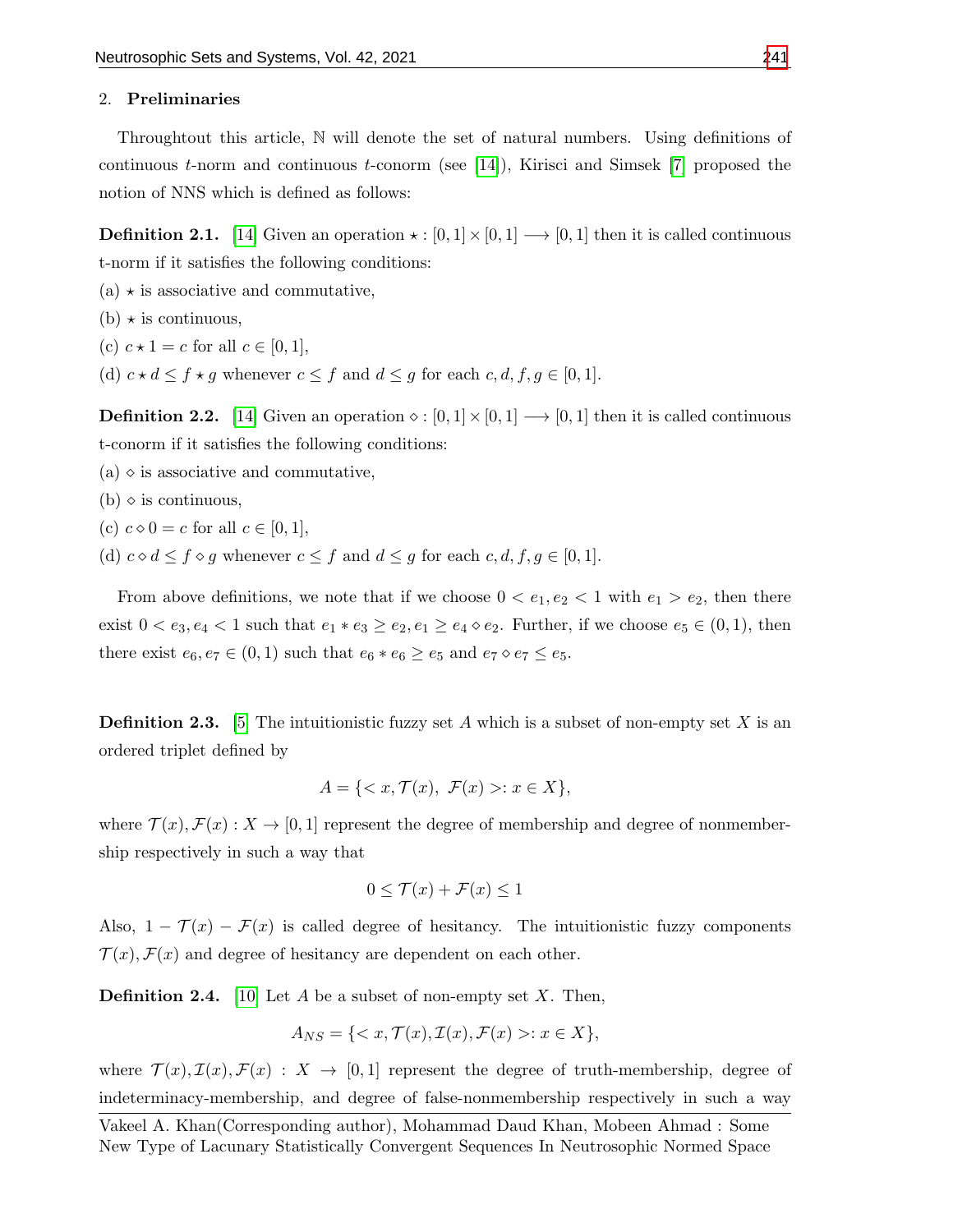#### 2. Preliminaries

Throughtout this article, N will denote the set of natural numbers. Using definitions of continuous  $t$ -norm and continuous  $t$ -conorm (see [\[14\]](#page-12-12)), Kirisci and Simsek [\[7\]](#page-12-11) proposed the notion of NNS which is defined as follows:

**Definition 2.1.** [\[14\]](#page-12-12) Given an operation  $\star : [0, 1] \times [0, 1] \longrightarrow [0, 1]$  then it is called continuous t-norm if it satisfies the following conditions:

- $(a) \star$  is associative and commutative,
- $(b) \star$  is continuous,
- (c)  $c \star 1 = c$  for all  $c \in [0, 1]$ ,
- (d)  $c \star d \leq f \star g$  whenever  $c \leq f$  and  $d \leq g$  for each  $c, d, f, g \in [0, 1]$ .

**Definition 2.2.** [\[14\]](#page-12-12) Given an operation  $\diamond : [0, 1] \times [0, 1] \longrightarrow [0, 1]$  then it is called continuous t-conorm if it satisfies the following conditions:

- $(a)$   $\diamond$  is associative and commutative,
- $(b)$   $\diamond$  is continuous,
- (c)  $c \diamond 0 = c$  for all  $c \in [0, 1]$ ,
- (d)  $c \diamond d \le f \diamond g$  whenever  $c \le f$  and  $d \le g$  for each  $c, d, f, g \in [0, 1]$ .

From above definitions, we note that if we choose  $0 < e_1, e_2 < 1$  with  $e_1 > e_2$ , then there exist  $0 < e_3, e_4 < 1$  such that  $e_1 * e_3 \ge e_2, e_1 \ge e_4 \diamond e_2$ . Further, if we choose  $e_5 \in (0,1)$ , then there exist  $e_6, e_7 \in (0, 1)$  such that  $e_6 * e_6 \ge e_5$  and  $e_7 \diamond e_7 \le e_5$ .

**Definition 2.3.** [\[5\]](#page-12-13) The intuitionistic fuzzy set A which is a subset of non-empty set X is an ordered triplet defined by

$$
A = \{ \langle x, \mathcal{T}(x), \mathcal{F}(x) \rangle : x \in X \},
$$

where  $\mathcal{T}(x), \mathcal{F}(x): X \to [0, 1]$  represent the degree of membership and degree of nonmembership respectively in such a way that

$$
0 \le \mathcal{T}(x) + \mathcal{F}(x) \le 1
$$

Also,  $1 - \mathcal{T}(x) - \mathcal{F}(x)$  is called degree of hesitancy. The intuitionistic fuzzy components  $\mathcal{T}(x)$ ,  $\mathcal{F}(x)$  and degree of hesitancy are dependent on each other.

**Definition 2.4.** [\[10\]](#page-12-4) Let A be a subset of non-empty set X. Then,

$$
A_{NS} = \{ \langle x, \mathcal{T}(x), \mathcal{I}(x), \mathcal{F}(x) \rangle : x \in X \},\
$$

where  $\mathcal{T}(x), \mathcal{I}(x), \mathcal{F}(x) : X \to [0, 1]$  represent the degree of truth-membership, degree of indeterminacy-membership, and degree of false-nonmembership respectively in such a way

Vakeel A. Khan(Corresponding author), Mohammad Daud Khan, Mobeen Ahmad : Some New Type of Lacunary Statistically Convergent Sequences In Neutrosophic Normed Space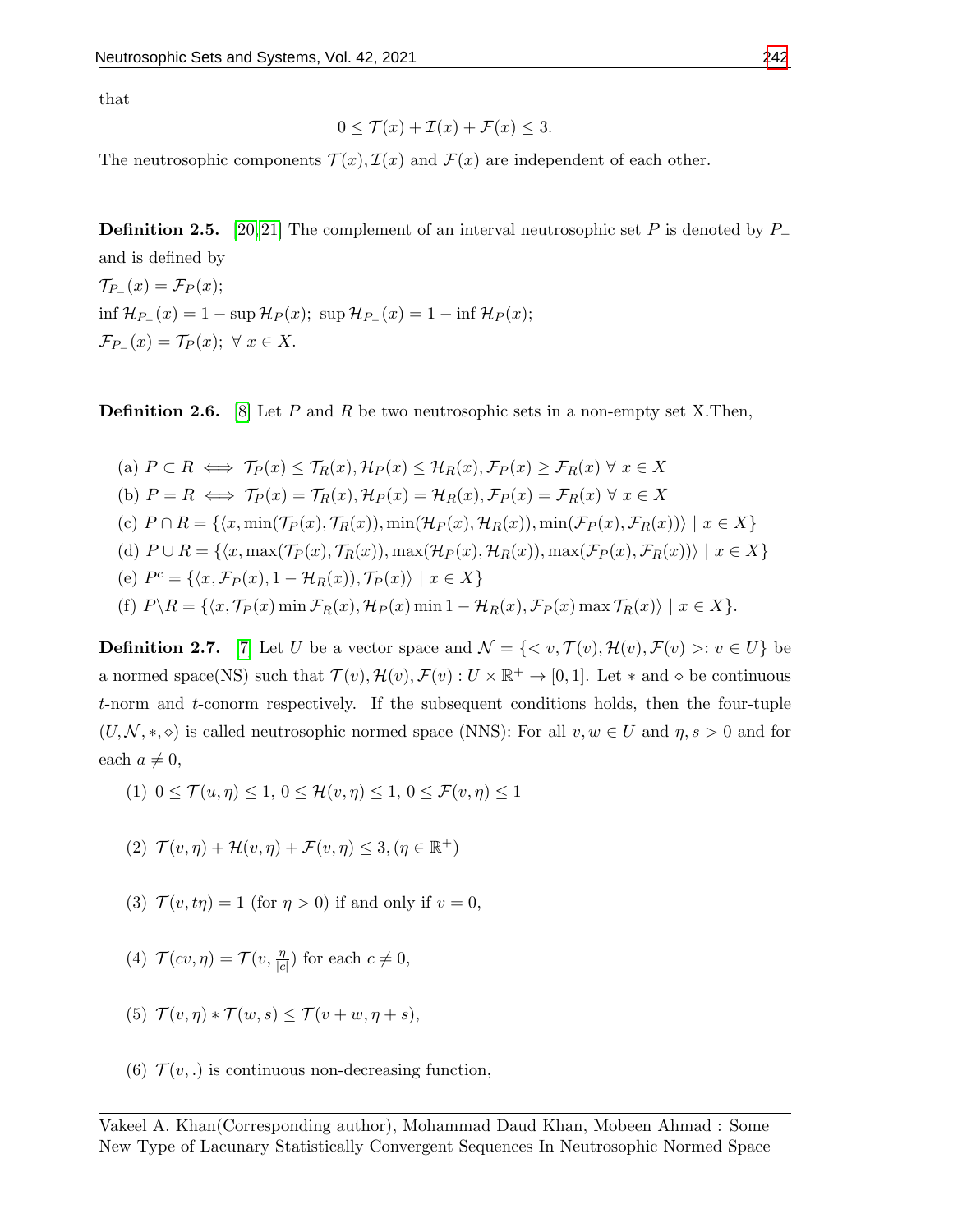that

$$
0 \le \mathcal{T}(x) + \mathcal{I}(x) + \mathcal{F}(x) \le 3.
$$

The neutrosophic components  $\mathcal{T}(x)$ ,  $\mathcal{I}(x)$  and  $\mathcal{F}(x)$  are independent of each other.

**Definition 2.5.** [\[20,](#page-13-2) [21\]](#page-13-3) The complement of an interval neutrosophic set P is denoted by  $P_$ and is defined by  $\mathcal{T}_{P_{-}}(x)=\mathcal{F}_{P}(x);$  $\inf \mathcal{H}_{P-}(x) = 1 - \sup \mathcal{H}_{P}(x); \sup \mathcal{H}_{P-}(x) = 1 - \inf \mathcal{H}_{P}(x);$  $\mathcal{F}_{P_{-}}(x) = \mathcal{T}_{P}(x); \ \forall \ x \in X.$ 

**Definition 2.6.** [\[8\]](#page-12-14) Let P and R be two neutrosophic sets in a non-empty set X. Then,

(a) 
$$
P \subset R \iff \mathcal{T}_P(x) \leq \mathcal{T}_R(x), \mathcal{H}_P(x) \leq \mathcal{H}_R(x), \mathcal{F}_P(x) \geq \mathcal{F}_R(x) \ \forall \ x \in X
$$
  
\n(b)  $P = R \iff \mathcal{T}_P(x) = \mathcal{T}_R(x), \mathcal{H}_P(x) = \mathcal{H}_R(x), \mathcal{F}_P(x) = \mathcal{F}_R(x) \ \forall \ x \in X$   
\n(c)  $P \cap R = \{ \langle x, \min(\mathcal{T}_P(x), \mathcal{T}_R(x)), \min(\mathcal{H}_P(x), \mathcal{H}_R(x)), \min(\mathcal{F}_P(x), \mathcal{F}_R(x)) \rangle \mid x \in X \}$   
\n(d)  $P \cup R = \{ \langle x, \max(\mathcal{T}_P(x), \mathcal{T}_R(x)), \max(\mathcal{H}_P(x), \mathcal{H}_R(x)), \max(\mathcal{F}_P(x), \mathcal{F}_R(x)) \rangle \mid x \in X \}$   
\n(e)  $P^c = \{ \langle x, \mathcal{F}_P(x), 1 - \mathcal{H}_R(x), \mathcal{T}_P(x) \rangle \mid x \in X \}$   
\n(f)  $P \setminus R = \{ \langle x, \mathcal{T}_P(x) \min \mathcal{F}_R(x), \mathcal{H}_P(x) \min \{1 - \mathcal{H}_R(x), \mathcal{F}_P(x) \max \mathcal{T}_R(x) \rangle \mid x \in X \}.$ 

**Definition 2.7.** [\[7\]](#page-12-11) Let U be a vector space and  $\mathcal{N} = \{ \langle v, \mathcal{T}(v), \mathcal{H}(v), \mathcal{F}(v) \rangle : v \in U \}$  be a normed space(NS) such that  $\mathcal{T}(v), \mathcal{H}(v), \mathcal{F}(v) : U \times \mathbb{R}^+ \to [0, 1]$ . Let  $*$  and  $\diamond$  be continuous t-norm and t-conorm respectively. If the subsequent conditions holds, then the four-tuple  $(U, \mathcal{N}, *, \diamond)$  is called neutrosophic normed space (NNS): For all  $v, w \in U$  and  $\eta, s > 0$  and for each  $a \neq 0$ ,

(1) 
$$
0 \le \mathcal{T}(u, \eta) \le 1, 0 \le \mathcal{H}(v, \eta) \le 1, 0 \le \mathcal{F}(v, \eta) \le 1
$$

- (2)  $\mathcal{T}(v, \eta) + \mathcal{H}(v, \eta) + \mathcal{F}(v, \eta) \leq 3, (\eta \in \mathbb{R}^+)$
- (3)  $\mathcal{T}(v, t\eta) = 1$  (for  $\eta > 0$ ) if and only if  $v = 0$ ,
- (4)  $\mathcal{T}(cv, \eta) = \mathcal{T}(v, \frac{\eta}{|c|})$  $\frac{\eta}{|c|}$  for each  $c \neq 0$ ,
- (5)  $\mathcal{T}(v, \eta) * \mathcal{T}(w, s) \leq \mathcal{T}(v + w, \eta + s),$
- (6)  $\mathcal{T}(v,.)$  is continuous non-decreasing function,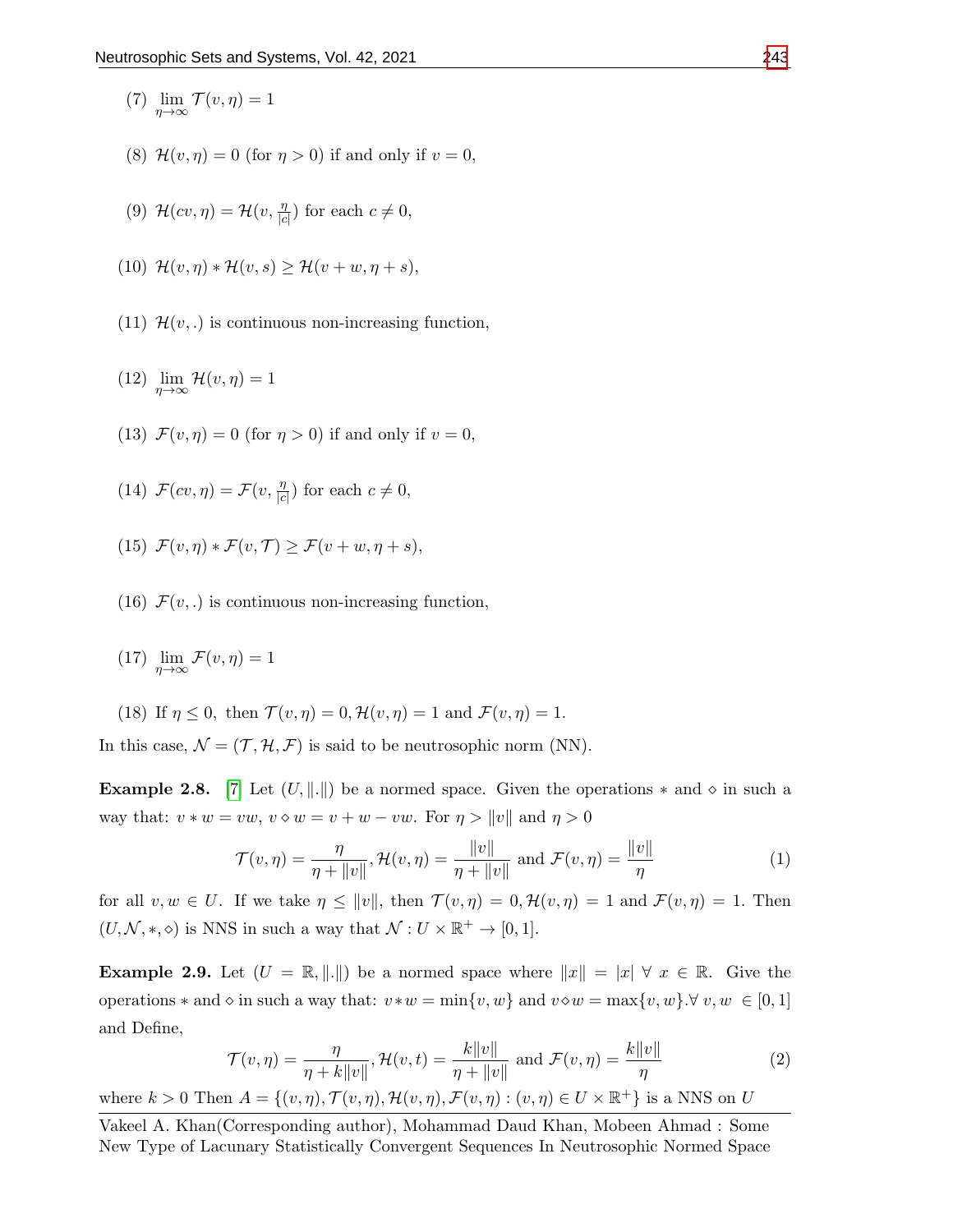- (7)  $\lim_{\eta \to \infty} \mathcal{T}(v, \eta) = 1$
- (8)  $\mathcal{H}(v, \eta) = 0$  (for  $\eta > 0$ ) if and only if  $v = 0$ ,
- (9)  $\mathcal{H}(cv, \eta) = \mathcal{H}(v, \frac{\eta}{|c|})$  $\frac{\eta}{|c|}$  for each  $c \neq 0$ ,
- (10)  $\mathcal{H}(v, \eta) * \mathcal{H}(v, s) > \mathcal{H}(v + w, \eta + s),$
- (11)  $\mathcal{H}(v,.)$  is continuous non-increasing function,
- (12)  $\lim_{\eta \to \infty} \mathcal{H}(v, \eta) = 1$
- (13)  $\mathcal{F}(v, \eta) = 0$  (for  $\eta > 0$ ) if and only if  $v = 0$ ,
- (14)  $\mathcal{F}(cv, \eta) = \mathcal{F}(v, \frac{\eta}{|c|})$  $\frac{\eta}{|c|}$  for each  $c \neq 0$ ,
- (15)  $\mathcal{F}(v, \eta) * \mathcal{F}(v, \mathcal{T}) \geq \mathcal{F}(v + w, \eta + s),$
- (16)  $\mathcal{F}(v,.)$  is continuous non-increasing function,
- (17)  $\lim_{\eta \to \infty} \mathcal{F}(v, \eta) = 1$
- (18) If  $\eta \leq 0$ , then  $\mathcal{T}(v, \eta) = 0$ ,  $\mathcal{H}(v, \eta) = 1$  and  $\mathcal{F}(v, \eta) = 1$ .

In this case,  $\mathcal{N} = (\mathcal{T}, \mathcal{H}, \mathcal{F})$  is said to be neutrosophic norm (NN).

**Example 2.8.** [\[7\]](#page-12-11) Let  $(U, \|\cdot\|)$  be a normed space. Given the operations  $*$  and  $\diamond$  in such a way that:  $v * w = vw$ ,  $v \diamond w = v + w - vw$ . For  $\eta > ||v||$  and  $\eta > 0$ 

$$
\mathcal{T}(v,\eta) = \frac{\eta}{\eta + \|v\|}, \mathcal{H}(v,\eta) = \frac{\|v\|}{\eta + \|v\|} \text{ and } \mathcal{F}(v,\eta) = \frac{\|v\|}{\eta}
$$
 (1)

for all  $v, w \in U$ . If we take  $\eta \leq ||v||$ , then  $\mathcal{T}(v, \eta) = 0$ ,  $\mathcal{H}(v, \eta) = 1$  and  $\mathcal{F}(v, \eta) = 1$ . Then  $(U, \mathcal{N}, *, \diamond)$  is NNS in such a way that  $\mathcal{N}: U \times \mathbb{R}^+ \to [0, 1].$ 

**Example 2.9.** Let  $(U = \mathbb{R}, ||.||)$  be a normed space where  $||x|| = |x| \forall x \in \mathbb{R}$ . Give the operations  $*$  and  $\diamond$  in such a way that:  $v * w = \min\{v, w\}$  and  $v \diamond w = \max\{v, w\}$ .  $\forall v, w \in [0, 1]$ and Define,

$$
\mathcal{T}(v,\eta) = \frac{\eta}{\eta + k\|v\|}, \mathcal{H}(v,t) = \frac{k\|v\|}{\eta + \|v\|} \text{ and } \mathcal{F}(v,\eta) = \frac{k\|v\|}{\eta}
$$
 (2)

where  $k > 0$  Then  $A = \{(v, \eta), \mathcal{T}(v, \eta), \mathcal{H}(v, \eta), \mathcal{F}(v, \eta) : (v, \eta) \in U \times \mathbb{R}^+\}$  is a NNS on U

Vakeel A. Khan(Corresponding author), Mohammad Daud Khan, Mobeen Ahmad : Some New Type of Lacunary Statistically Convergent Sequences In Neutrosophic Normed Space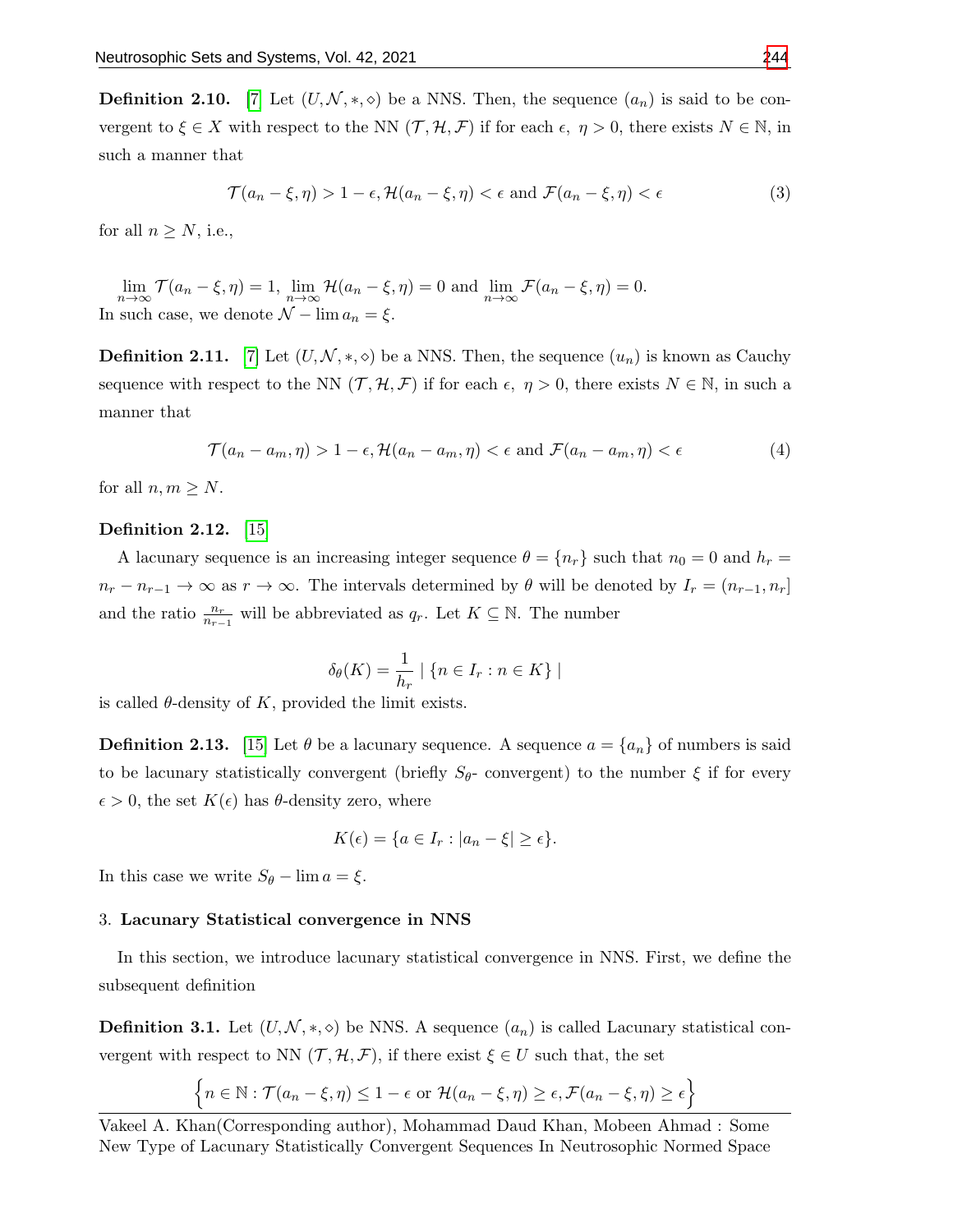**Definition 2.10.** [\[7\]](#page-12-11) Let  $(U, \mathcal{N}, *, \diamond)$  be a NNS. Then, the sequence  $(a_n)$  is said to be convergent to  $\xi \in X$  with respect to the NN  $(\mathcal{T}, \mathcal{H}, \mathcal{F})$  if for each  $\epsilon, \eta > 0$ , there exists  $N \in \mathbb{N}$ , in such a manner that

$$
\mathcal{T}(a_n - \xi, \eta) > 1 - \epsilon, \mathcal{H}(a_n - \xi, \eta) < \epsilon \text{ and } \mathcal{F}(a_n - \xi, \eta) < \epsilon \tag{3}
$$

for all  $n \geq N$ , i.e.,

 $\lim_{n \to \infty} \mathcal{T}(a_n - \xi, \eta) = 1$ ,  $\lim_{n \to \infty} \mathcal{H}(a_n - \xi, \eta) = 0$  and  $\lim_{n \to \infty} \mathcal{F}(a_n - \xi, \eta) = 0$ . In such case, we denote  $\mathcal{N} - \lim a_n = \xi$ .

**Definition 2.11.** [\[7\]](#page-12-11) Let  $(U, \mathcal{N}, *, \diamond)$  be a NNS. Then, the sequence  $(u_n)$  is known as Cauchy sequence with respect to the NN  $(\mathcal{T}, \mathcal{H}, \mathcal{F})$  if for each  $\epsilon, \eta > 0$ , there exists  $N \in \mathbb{N}$ , in such a manner that

$$
\mathcal{T}(a_n - a_m, \eta) > 1 - \epsilon, \mathcal{H}(a_n - a_m, \eta) < \epsilon \text{ and } \mathcal{F}(a_n - a_m, \eta) < \epsilon \tag{4}
$$

for all  $n, m \geq N$ .

## Definition 2.12. [\[15\]](#page-12-9)

A lacunary sequence is an increasing integer sequence  $\theta = \{n_r\}$  such that  $n_0 = 0$  and  $h_r =$  $n_r - n_{r-1} \to \infty$  as  $r \to \infty$ . The intervals determined by  $\theta$  will be denoted by  $I_r = (n_{r-1}, n_r]$ and the ratio  $\frac{n_r}{n_{r-1}}$  will be abbreviated as  $q_r$ . Let  $K \subseteq \mathbb{N}$ . The number

$$
\delta_{\theta}(K) = \frac{1}{h_r} \mid \{ n \in I_r : n \in K \} \mid
$$

is called  $\theta$ -density of K, provided the limit exists.

**Definition 2.13.** [\[15\]](#page-12-9) Let  $\theta$  be a lacunary sequence. A sequence  $a = \{a_n\}$  of numbers is said to be lacunary statistically convergent (briefly  $S_{\theta}$ - convergent) to the number  $\xi$  if for every  $\epsilon > 0$ , the set  $K(\epsilon)$  has  $\theta$ -density zero, where

$$
K(\epsilon) = \{ a \in I_r : |a_n - \xi| \ge \epsilon \}.
$$

In this case we write  $S_{\theta}$  – lim  $a = \xi$ .

#### 3. Lacunary Statistical convergence in NNS

In this section, we introduce lacunary statistical convergence in NNS. First, we define the subsequent definition

**Definition 3.1.** Let  $(U, \mathcal{N}, *, \diamond)$  be NNS. A sequence  $(a_n)$  is called Lacunary statistical convergent with respect to NN  $(\mathcal{T}, \mathcal{H}, \mathcal{F})$ , if there exist  $\xi \in U$  such that, the set

$$
\left\{ n \in \mathbb{N} : \mathcal{T}(a_n - \xi, \eta) \le 1 - \epsilon \text{ or } \mathcal{H}(a_n - \xi, \eta) \ge \epsilon, \mathcal{F}(a_n - \xi, \eta) \ge \epsilon \right\}
$$

Vakeel A. Khan(Corresponding author), Mohammad Daud Khan, Mobeen Ahmad : Some New Type of Lacunary Statistically Convergent Sequences In Neutrosophic Normed Space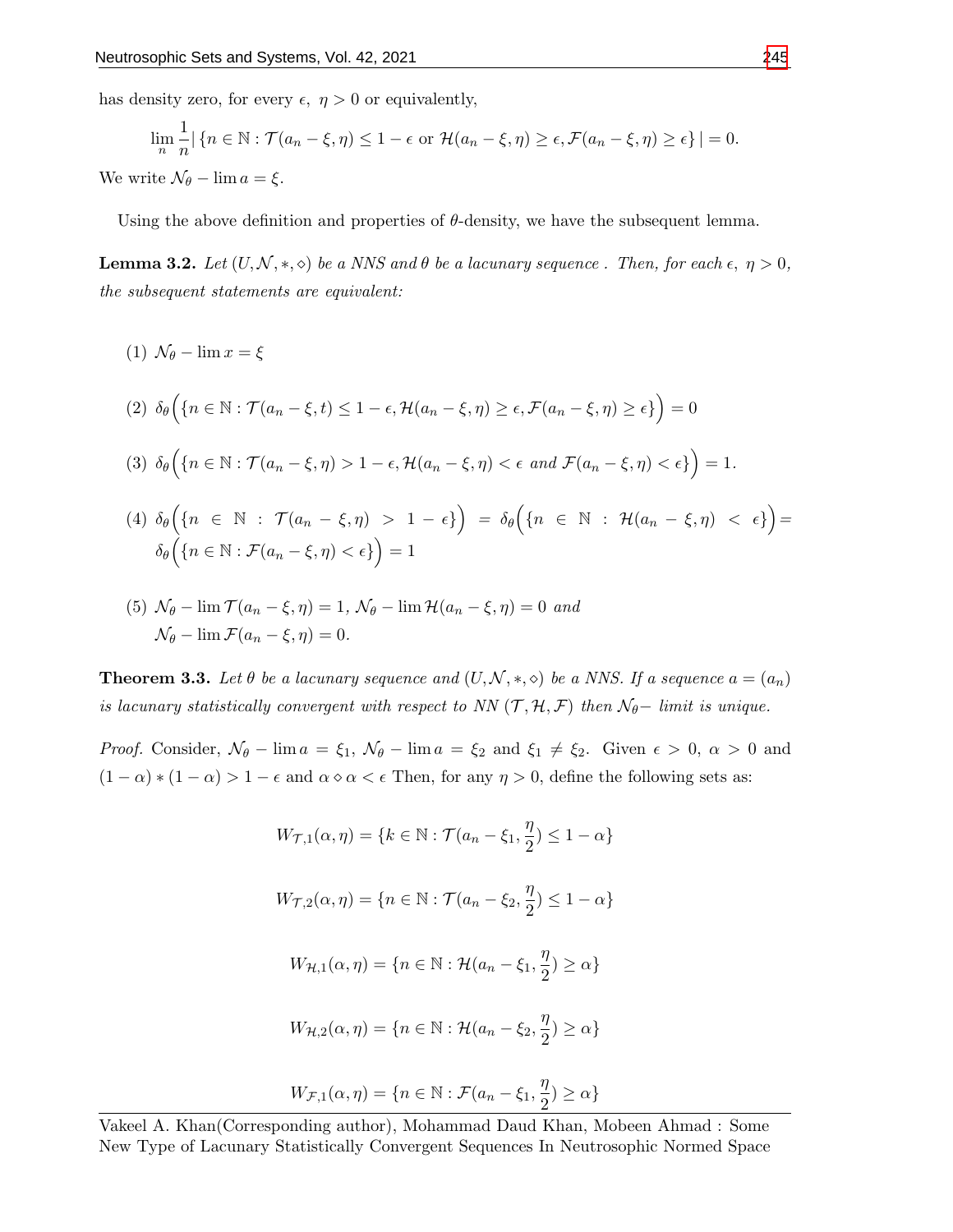has density zero, for every  $\epsilon$ ,  $\eta > 0$  or equivalently,

$$
\lim_{n} \frac{1}{n} |\{n \in \mathbb{N} : \mathcal{T}(a_n - \xi, \eta) \le 1 - \epsilon \text{ or } \mathcal{H}(a_n - \xi, \eta) \ge \epsilon, \mathcal{F}(a_n - \xi, \eta) \ge \epsilon\}| = 0.
$$
  
We write  $\mathcal{N}_{\theta} - \lim_{n \to \infty} a = \xi$ .

Using the above definition and properties of  $\theta$ -density, we have the subsequent lemma.

<span id="page-6-0"></span>**Lemma 3.2.** Let  $(U, \mathcal{N}, *, \diamond)$  be a NNS and  $\theta$  be a lacunary sequence. Then, for each  $\epsilon, \eta > 0$ , the subsequent statements are equivalent:

(1)  $\mathcal{N}_{\theta}$  –  $\lim x = \xi$ 

(2)  $\delta_{\theta} \Big( \{ n \in \mathbb{N} : \mathcal{T}(a_n - \xi, t) \leq 1 - \epsilon, \mathcal{H}(a_n - \xi, \eta) \geq \epsilon, \mathcal{F}(a_n - \xi, \eta) \geq \epsilon \} \Big) = 0$ 

$$
(3) \delta_{\theta}\Big(\big\{n \in \mathbb{N} : \mathcal{T}(a_n - \xi, \eta) > 1 - \epsilon, \mathcal{H}(a_n - \xi, \eta) < \epsilon \text{ and } \mathcal{F}(a_n - \xi, \eta) < \epsilon\big\}\Big) = 1.
$$

- (4)  $\delta_{\theta} \Big( \{ n \in \mathbb{N} \; : \; \mathcal{T}(a_n \xi, \eta) \; > \; 1 \epsilon \} \Big) \; = \; \delta_{\theta} \Big( \{ n \; \in \; \mathbb{N} \; : \; \mathcal{H}(a_n \xi, \eta) \; < \; \epsilon \} \Big) =$  $\delta_\theta\Big(\{n\in\mathbb{N}:\mathcal{F}(a_n-\xi,\eta)<\epsilon\}\Big)=1$
- (5)  $\mathcal{N}_{\theta}$   $\lim \mathcal{T}(a_n \xi, \eta) = 1$ ,  $\mathcal{N}_{\theta}$   $\lim \mathcal{H}(a_n \xi, \eta) = 0$  and  $\mathcal{N}_{\theta} - \lim \mathcal{F}(a_n - \xi, \eta) = 0.$

**Theorem 3.3.** Let  $\theta$  be a lacunary sequence and  $(U, \mathcal{N}, *, \diamond)$  be a NNS. If a sequence  $a = (a_n)$ is lacunary statistically convergent with respect to NN  $(\mathcal{T}, \mathcal{H}, \mathcal{F})$  then  $\mathcal{N}_{\theta}-$  limit is unique.

*Proof.* Consider,  $\mathcal{N}_{\theta}$  – lim  $a = \xi_1$ ,  $\mathcal{N}_{\theta}$  – lim  $a = \xi_2$  and  $\xi_1 \neq \xi_2$ . Given  $\epsilon > 0$ ,  $\alpha > 0$  and  $(1 - \alpha) * (1 - \alpha) > 1 - \epsilon$  and  $\alpha \circ \alpha < \epsilon$  Then, for any  $\eta > 0$ , define the following sets as:

$$
W_{\mathcal{T},1}(\alpha,\eta) = \{k \in \mathbb{N} : \mathcal{T}(a_n - \xi_1, \frac{\eta}{2}) \le 1 - \alpha\}
$$
  

$$
W_{\mathcal{T},2}(\alpha,\eta) = \{n \in \mathbb{N} : \mathcal{T}(a_n - \xi_2, \frac{\eta}{2}) \le 1 - \alpha\}
$$
  

$$
W_{\mathcal{H},1}(\alpha,\eta) = \{n \in \mathbb{N} : \mathcal{H}(a_n - \xi_1, \frac{\eta}{2}) \ge \alpha\}
$$
  

$$
W_{\mathcal{H},2}(\alpha,\eta) = \{n \in \mathbb{N} : \mathcal{H}(a_n - \xi_2, \frac{\eta}{2}) \ge \alpha\}
$$
  

$$
W_{\mathcal{F},1}(\alpha,\eta) = \{n \in \mathbb{N} : \mathcal{F}(a_n - \xi_1, \frac{\eta}{2}) \ge \alpha\}
$$

Vakeel A. Khan(Corresponding author), Mohammad Daud Khan, Mobeen Ahmad : Some New Type of Lacunary Statistically Convergent Sequences In Neutrosophic Normed Space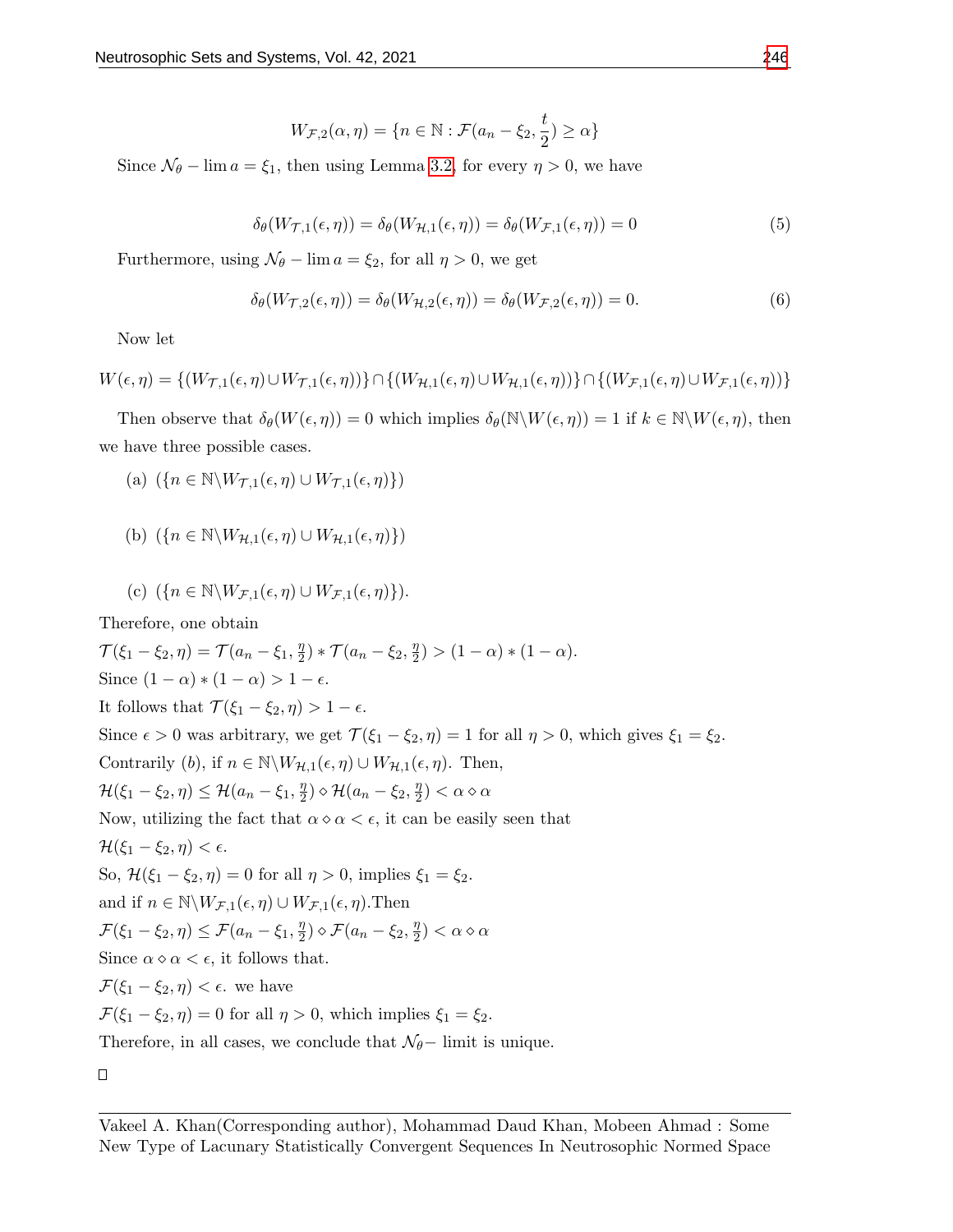$$
W_{\mathcal{F},2}(\alpha,\eta) = \{ n \in \mathbb{N} : \mathcal{F}(a_n - \xi_2, \frac{t}{2}) \ge \alpha \}
$$

Since  $\mathcal{N}_{\theta}$  – lim  $a = \xi_1$ , then using Lemma [3.2,](#page-6-0) for every  $\eta > 0$ , we have

$$
\delta_{\theta}(W_{\mathcal{T},1}(\epsilon,\eta)) = \delta_{\theta}(W_{\mathcal{H},1}(\epsilon,\eta)) = \delta_{\theta}(W_{\mathcal{F},1}(\epsilon,\eta)) = 0 \tag{5}
$$

Furthermore, using  $\mathcal{N}_{\theta}$  – lim  $a = \xi_2$ , for all  $\eta > 0$ , we get

$$
\delta_{\theta}(W_{\mathcal{T},2}(\epsilon,\eta)) = \delta_{\theta}(W_{\mathcal{H},2}(\epsilon,\eta)) = \delta_{\theta}(W_{\mathcal{F},2}(\epsilon,\eta)) = 0.
$$
 (6)

Now let

$$
W(\epsilon, \eta) = \{ (W_{\mathcal{T},1}(\epsilon, \eta) \cup W_{\mathcal{T},1}(\epsilon, \eta)) \} \cap \{ (W_{\mathcal{H},1}(\epsilon, \eta) \cup W_{\mathcal{H},1}(\epsilon, \eta)) \} \cap \{ (W_{\mathcal{F},1}(\epsilon, \eta) \cup W_{\mathcal{F},1}(\epsilon, \eta)) \}
$$

Then observe that  $\delta_{\theta}(W(\epsilon, \eta)) = 0$  which implies  $\delta_{\theta}(\mathbb{N}\setminus W(\epsilon, \eta)) = 1$  if  $k \in \mathbb{N}\setminus W(\epsilon, \eta)$ , then we have three possible cases.

- (a)  $({n \in \mathbb{N}}\setminus W_{\mathcal{T},1}(\epsilon, \eta) \cup W_{\mathcal{T},1}(\epsilon, \eta))$
- (b)  $({n \in \mathbb{N}}\setminus W_{\mathcal{H},1}(\epsilon, \eta) \cup W_{\mathcal{H},1}(\epsilon, \eta))$

(c) 
$$
(\{n \in \mathbb{N} \setminus W_{\mathcal{F},1}(\epsilon,\eta) \cup W_{\mathcal{F},1}(\epsilon,\eta)\}).
$$

Therefore, one obtain

$$
\mathcal{T}(\xi_1 - \xi_2, \eta) = \mathcal{T}(a_n - \xi_1, \frac{\eta}{2}) * \mathcal{T}(a_n - \xi_2, \frac{\eta}{2}) > (1 - \alpha) * (1 - \alpha).
$$
  
Since  $(1 - \alpha) * (1 - \alpha) > 1 - \epsilon$ .

It follows that  $\mathcal{T}(\xi_1 - \xi_2, \eta) > 1 - \epsilon$ .

Since  $\epsilon > 0$  was arbitrary, we get  $\mathcal{T}(\xi_1 - \xi_2, \eta) = 1$  for all  $\eta > 0$ , which gives  $\xi_1 = \xi_2$ .

Contrarily (b), if  $n \in \mathbb{N} \backslash W_{\mathcal{H},1}(\epsilon, \eta) \cup W_{\mathcal{H},1}(\epsilon, \eta)$ . Then,

$$
\mathcal{H}(\xi_1 - \xi_2, \eta) \le \mathcal{H}(a_n - \xi_1, \frac{\eta}{2}) \diamond \mathcal{H}(a_n - \xi_2, \frac{\eta}{2}) < \alpha \diamond \alpha
$$

Now, utilizing the fact that  $\alpha \circ \alpha < \epsilon$ , it can be easily seen that

 $\mathcal{H}(\xi_1 - \xi_2, \eta) < \epsilon.$ 

So,  $\mathcal{H}(\xi_1 - \xi_2, \eta) = 0$  for all  $\eta > 0$ , implies  $\xi_1 = \xi_2$ .

and if  $n \in \mathbb{N} \backslash W_{\mathcal{F},1}(\epsilon, \eta) \cup W_{\mathcal{F},1}(\epsilon, \eta)$ . Then

$$
\mathcal{F}(\xi_1 - \xi_2, \eta) \le \mathcal{F}(a_n - \xi_1, \frac{\eta}{2}) \diamond \mathcal{F}(a_n - \xi_2, \frac{\eta}{2}) < \alpha \diamond \alpha
$$

Since  $\alpha \diamond \alpha < \epsilon$ , it follows that.

 $\mathcal{F}(\xi_1 - \xi_2, \eta) < \epsilon$ . we have

 $\mathcal{F}(\xi_1 - \xi_2, \eta) = 0$  for all  $\eta > 0$ , which implies  $\xi_1 = \xi_2$ .

Therefore, in all cases, we conclude that  $\mathcal{N}_{\theta}-$  limit is unique.

 $\Box$ 

Vakeel A. Khan(Corresponding author), Mohammad Daud Khan, Mobeen Ahmad : Some New Type of Lacunary Statistically Convergent Sequences In Neutrosophic Normed Space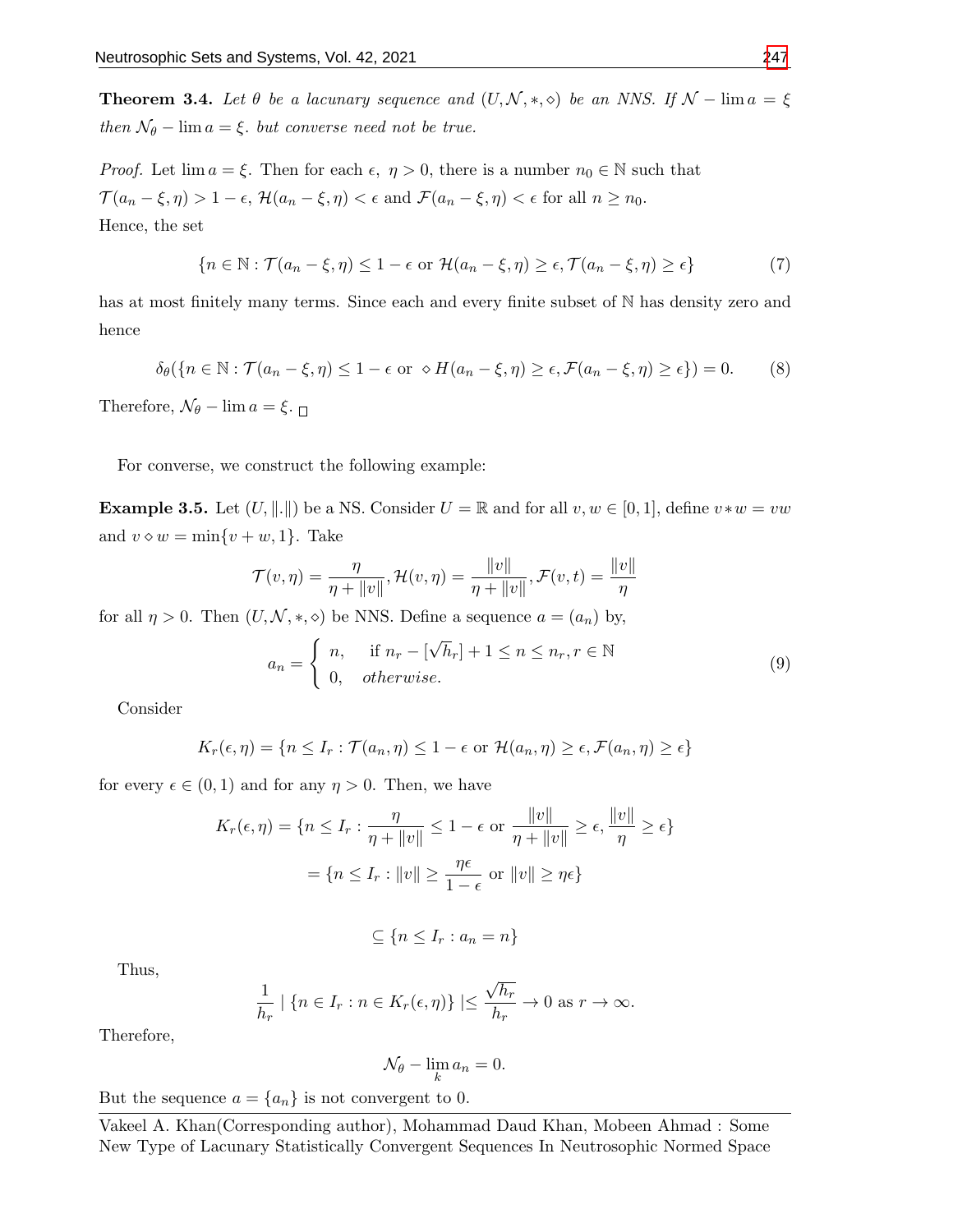**Theorem 3.4.** Let  $\theta$  be a lacunary sequence and  $(U, \mathcal{N}, *, \diamond)$  be an NNS. If  $\mathcal{N}$  – lim  $a = \xi$ then  $\mathcal{N}_{\theta}$  – lim  $a = \xi$ , but converse need not be true.

*Proof.* Let  $\lim a = \xi$ . Then for each  $\epsilon$ ,  $\eta > 0$ , there is a number  $n_0 \in \mathbb{N}$  such that  $\mathcal{T}(a_n-\xi,\eta) > 1-\epsilon, \, \mathcal{H}(a_n-\xi,\eta) < \epsilon \text{ and } \mathcal{F}(a_n-\xi,\eta) < \epsilon \text{ for all } n \geq n_0.$ Hence, the set

$$
\{n \in \mathbb{N} : \mathcal{T}(a_n - \xi, \eta) \le 1 - \epsilon \text{ or } \mathcal{H}(a_n - \xi, \eta) \ge \epsilon, \mathcal{T}(a_n - \xi, \eta) \ge \epsilon\}
$$
 (7)

has at most finitely many terms. Since each and every finite subset of N has density zero and hence

$$
\delta_{\theta}(\{n \in \mathbb{N} : \mathcal{T}(a_n - \xi, \eta) \le 1 - \epsilon \text{ or } \diamond H(a_n - \xi, \eta) \ge \epsilon, \mathcal{F}(a_n - \xi, \eta) \ge \epsilon\}) = 0. \tag{8}
$$

Therefore,  $\mathcal{N}_{\theta}$  – lim  $a = \xi$ .

For converse, we construct the following example:

**Example 3.5.** Let  $(U, \|\cdot\|)$  be a NS. Consider  $U = \mathbb{R}$  and for all  $v, w \in [0, 1]$ , define  $v * w = vw$ and  $v \diamond w = \min\{v + w, 1\}$ . Take

$$
\mathcal{T}(v, \eta) = \frac{\eta}{\eta + ||v||}, \mathcal{H}(v, \eta) = \frac{||v||}{\eta + ||v||}, \mathcal{F}(v, t) = \frac{||v||}{\eta}
$$

for all  $\eta > 0$ . Then  $(U, \mathcal{N}, *, \diamond)$  be NNS. Define a sequence  $a = (a_n)$  by,

$$
a_n = \begin{cases} n, & \text{if } n_r - [\sqrt{h}_r] + 1 \le n \le n_r, r \in \mathbb{N} \\ 0, & otherwise. \end{cases}
$$
 (9)

Consider

$$
K_r(\epsilon, \eta) = \{ n \le I_r : \mathcal{T}(a_n, \eta) \le 1 - \epsilon \text{ or } \mathcal{H}(a_n, \eta) \ge \epsilon, \mathcal{F}(a_n, \eta) \ge \epsilon \}
$$

for every  $\epsilon \in (0,1)$  and for any  $\eta > 0$ . Then, we have

$$
K_r(\epsilon, \eta) = \{ n \le I_r : \frac{\eta}{\eta + ||v||} \le 1 - \epsilon \text{ or } \frac{||v||}{\eta + ||v||} \ge \epsilon, \frac{||v||}{\eta} \ge \epsilon \}
$$

$$
= \{ n \le I_r : ||v|| \ge \frac{\eta \epsilon}{1 - \epsilon} \text{ or } ||v|| \ge \eta \epsilon \}
$$

$$
\subseteq \{n \leq I_r : a_n = n\}
$$

Thus,

$$
\frac{1}{h_r} \mid \{ n \in I_r : n \in K_r(\epsilon, \eta) \} \mid \leq \frac{\sqrt{h_r}}{h_r} \to 0 \text{ as } r \to \infty.
$$

Therefore,

$$
\mathcal{N}_{\theta} - \lim_{k} a_n = 0.
$$

But the sequence  $a = \{a_n\}$  is not convergent to 0.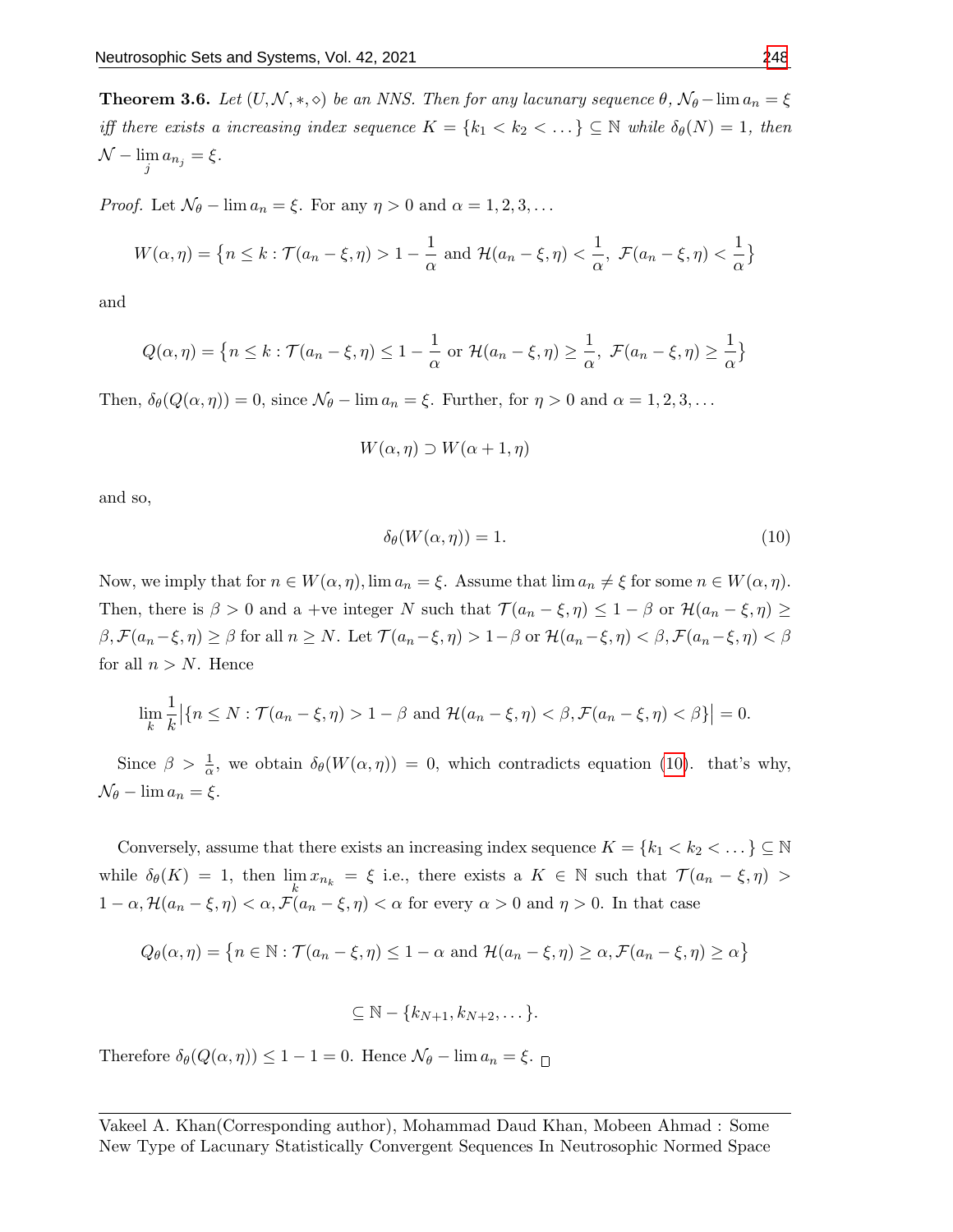**Theorem 3.6.** Let  $(U, \mathcal{N}, *, \diamond)$  be an NNS. Then for any lacunary sequence  $\theta$ ,  $\mathcal{N}_{\theta}$  –  $\lim a_n = \xi$ iff there exists a increasing index sequence  $K = \{k_1 < k_2 < \dots \} \subseteq \mathbb{N}$  while  $\delta_{\theta}(N) = 1$ , then  $\mathcal{N} - \lim_{j} a_{n_j} = \xi.$ 

*Proof.* Let  $\mathcal{N}_{\theta}$  –  $\lim a_n = \xi$ . For any  $\eta > 0$  and  $\alpha = 1, 2, 3, \dots$ 

$$
W(\alpha, \eta) = \left\{ n \le k : \mathcal{T}(a_n - \xi, \eta) > 1 - \frac{1}{\alpha} \text{ and } \mathcal{H}(a_n - \xi, \eta) < \frac{1}{\alpha}, \ \mathcal{F}(a_n - \xi, \eta) < \frac{1}{\alpha} \right\}
$$

and

$$
Q(\alpha, \eta) = \left\{ n \le k : \mathcal{T}(a_n - \xi, \eta) \le 1 - \frac{1}{\alpha} \text{ or } \mathcal{H}(a_n - \xi, \eta) \ge \frac{1}{\alpha}, \ \mathcal{F}(a_n - \xi, \eta) \ge \frac{1}{\alpha} \right\}
$$

Then,  $\delta_{\theta}(Q(\alpha, \eta)) = 0$ , since  $\mathcal{N}_{\theta} - \lim_{n \to \infty} a_n = \xi$ . Further, for  $\eta > 0$  and  $\alpha = 1, 2, 3, \ldots$ 

$$
W(\alpha, \eta) \supset W(\alpha + 1, \eta)
$$

and so,

<span id="page-9-0"></span>
$$
\delta_{\theta}(W(\alpha,\eta)) = 1. \tag{10}
$$

Now, we imply that for  $n \in W(\alpha, \eta)$ , lim  $a_n = \xi$ . Assume that lim  $a_n \neq \xi$  for some  $n \in W(\alpha, \eta)$ . Then, there is  $\beta > 0$  and a +ve integer N such that  $\mathcal{T} (a_n - \xi, \eta) \leq 1 - \beta$  or  $\mathcal{H} (a_n - \xi, \eta) \geq 1$  $\beta, \mathcal{F}(a_n-\xi,\eta) \geq \beta$  for all  $n \geq N$ . Let  $\mathcal{T}(a_n-\xi,\eta) > 1-\beta$  or  $\mathcal{H}(a_n-\xi,\eta) < \beta, \mathcal{F}(a_n-\xi,\eta) < \beta$ for all  $n > N$ . Hence

$$
\lim_{k} \frac{1}{k} |\{n \le N : \mathcal{T}(a_n - \xi, \eta) > 1 - \beta \text{ and } \mathcal{H}(a_n - \xi, \eta) < \beta, \mathcal{F}(a_n - \xi, \eta) < \beta\}| = 0.
$$

Since  $\beta > \frac{1}{\alpha}$ , we obtain  $\delta_{\theta}(W(\alpha, \eta)) = 0$ , which contradicts equation [\(10\)](#page-9-0). that's why,  $\mathcal{N}_{\theta}$  –  $\lim a_n = \xi$ .

Conversely, assume that there exists an increasing index sequence  $K = \{k_1, k_2, \ldots\} \subseteq \mathbb{N}$ while  $\delta_{\theta}(K) = 1$ , then  $\lim_{h \to h} x_{n_k} = \xi$  i.e., there exists a  $K \in \mathbb{N}$  such that  $\mathcal{T}(a_n - \xi, \eta) >$ k  $1 - \alpha$ ,  $\mathcal{H}(a_n - \xi, \eta) < \alpha$ ,  $\mathcal{F}(a_n - \xi, \eta) < \alpha$  for every  $\alpha > 0$  and  $\eta > 0$ . In that case

$$
Q_{\theta}(\alpha,\eta) = \{ n \in \mathbb{N} : \mathcal{T}(a_n - \xi, \eta) \le 1 - \alpha \text{ and } \mathcal{H}(a_n - \xi, \eta) \ge \alpha, \mathcal{F}(a_n - \xi, \eta) \ge \alpha \}
$$

$$
\subseteq \mathbb{N} - \{k_{N+1}, k_{N+2}, \dots\}.
$$

Therefore  $\delta_{\theta}(Q(\alpha, \eta)) \leq 1 - 1 = 0$ . Hence  $\mathcal{N}_{\theta} - \lim_{n \to \infty} a_n = \xi$ .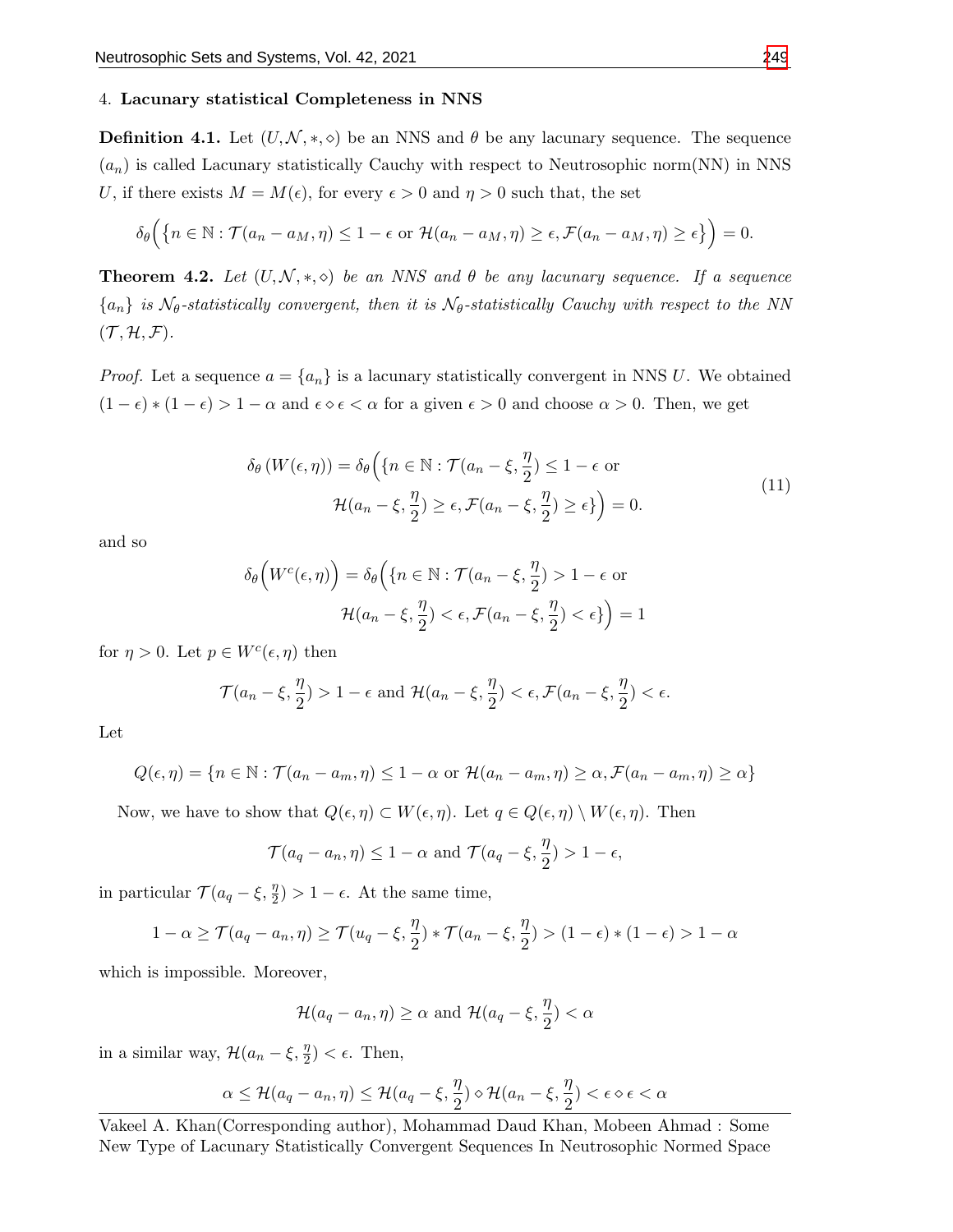## 4. Lacunary statistical Completeness in NNS

**Definition 4.1.** Let  $(U, \mathcal{N}, *, \diamond)$  be an NNS and  $\theta$  be any lacunary sequence. The sequence  $(a_n)$  is called Lacunary statistically Cauchy with respect to Neutrosophic norm(NN) in NNS U, if there exists  $M = M(\epsilon)$ , for every  $\epsilon > 0$  and  $\eta > 0$  such that, the set

$$
\delta_{\theta}\Big(\big\{n \in \mathbb{N} : \mathcal{T}(a_n - a_M, \eta) \leq 1 - \epsilon \text{ or } \mathcal{H}(a_n - a_M, \eta) \geq \epsilon, \mathcal{F}(a_n - a_M, \eta) \geq \epsilon\big\}\Big) = 0.
$$

**Theorem 4.2.** Let  $(U, \mathcal{N}, *, \diamond)$  be an NNS and  $\theta$  be any lacunary sequence. If a sequence  ${a_n}$  is  $\mathcal{N}_{\theta}$ -statistically convergent, then it is  $\mathcal{N}_{\theta}$ -statistically Cauchy with respect to the NN  $(\mathcal{T}, \mathcal{H}, \mathcal{F}).$ 

*Proof.* Let a sequence  $a = \{a_n\}$  is a lacunary statistically convergent in NNS U. We obtained  $(1 - \epsilon) * (1 - \epsilon) > 1 - \alpha$  and  $\epsilon \circ \epsilon < \alpha$  for a given  $\epsilon > 0$  and choose  $\alpha > 0$ . Then, we get

$$
\delta_{\theta} (W(\epsilon, \eta)) = \delta_{\theta} \Big( \{ n \in \mathbb{N} : \mathcal{T}(a_n - \xi, \frac{\eta}{2}) \le 1 - \epsilon \text{ or } \mathcal{H}(a_n - \xi, \frac{\eta}{2}) \ge \epsilon, \mathcal{F}(a_n - \xi, \frac{\eta}{2}) \ge \epsilon \} \Big) = 0.
$$
\n(11)

<span id="page-10-0"></span>and so

$$
\delta_{\theta}\left(W^{c}(\epsilon,\eta)\right) = \delta_{\theta}\left(\left\{n \in \mathbb{N} : \mathcal{T}(a_{n}-\xi,\frac{\eta}{2}) > 1 - \epsilon \text{ or } \mathcal{H}(a_{n}-\xi,\frac{\eta}{2}) < \epsilon, \mathcal{F}(a_{n}-\xi,\frac{\eta}{2}) < \epsilon\right\}\right) = 1
$$

for  $\eta > 0$ . Let  $p \in W^c(\epsilon, \eta)$  then

$$
\mathcal{T}(a_n-\xi,\frac{\eta}{2})>1-\epsilon \text{ and } \mathcal{H}(a_n-\xi,\frac{\eta}{2})<\epsilon,\mathcal{F}(a_n-\xi,\frac{\eta}{2})<\epsilon.
$$

Let

$$
Q(\epsilon, \eta) = \{ n \in \mathbb{N} : \mathcal{T}(a_n - a_m, \eta) \le 1 - \alpha \text{ or } \mathcal{H}(a_n - a_m, \eta) \ge \alpha, \mathcal{F}(a_n - a_m, \eta) \ge \alpha \}
$$

Now, we have to show that  $Q(\epsilon, \eta) \subset W(\epsilon, \eta)$ . Let  $q \in Q(\epsilon, \eta) \setminus W(\epsilon, \eta)$ . Then

$$
\mathcal{T}(a_q - a_n, \eta) \le 1 - \alpha
$$
 and  $\mathcal{T}(a_q - \xi, \frac{\eta}{2}) > 1 - \epsilon$ ,

in particular  $\mathcal{T}(a_q - \xi, \frac{\eta}{2}) > 1 - \epsilon$ . At the same time,

$$
1 - \alpha \ge \mathcal{T}(a_q - a_n, \eta) \ge \mathcal{T}(u_q - \xi, \frac{\eta}{2}) * \mathcal{T}(a_n - \xi, \frac{\eta}{2}) > (1 - \epsilon) * (1 - \epsilon) > 1 - \alpha
$$

which is impossible. Moreover,

$$
\mathcal{H}(a_q - a_n, \eta) \ge \alpha \text{ and } \mathcal{H}(a_q - \xi, \frac{\eta}{2}) < \alpha
$$

in a similar way,  $\mathcal{H}(a_n - \xi, \frac{\eta}{2}) < \epsilon$ . Then,

$$
\alpha \leq \mathcal{H}(a_q - a_n, \eta) \leq \mathcal{H}(a_q - \xi, \frac{\eta}{2}) \diamond \mathcal{H}(a_n - \xi, \frac{\eta}{2}) < \epsilon \diamond \epsilon < \alpha
$$

Vakeel A. Khan(Corresponding author), Mohammad Daud Khan, Mobeen Ahmad : Some New Type of Lacunary Statistically Convergent Sequences In Neutrosophic Normed Space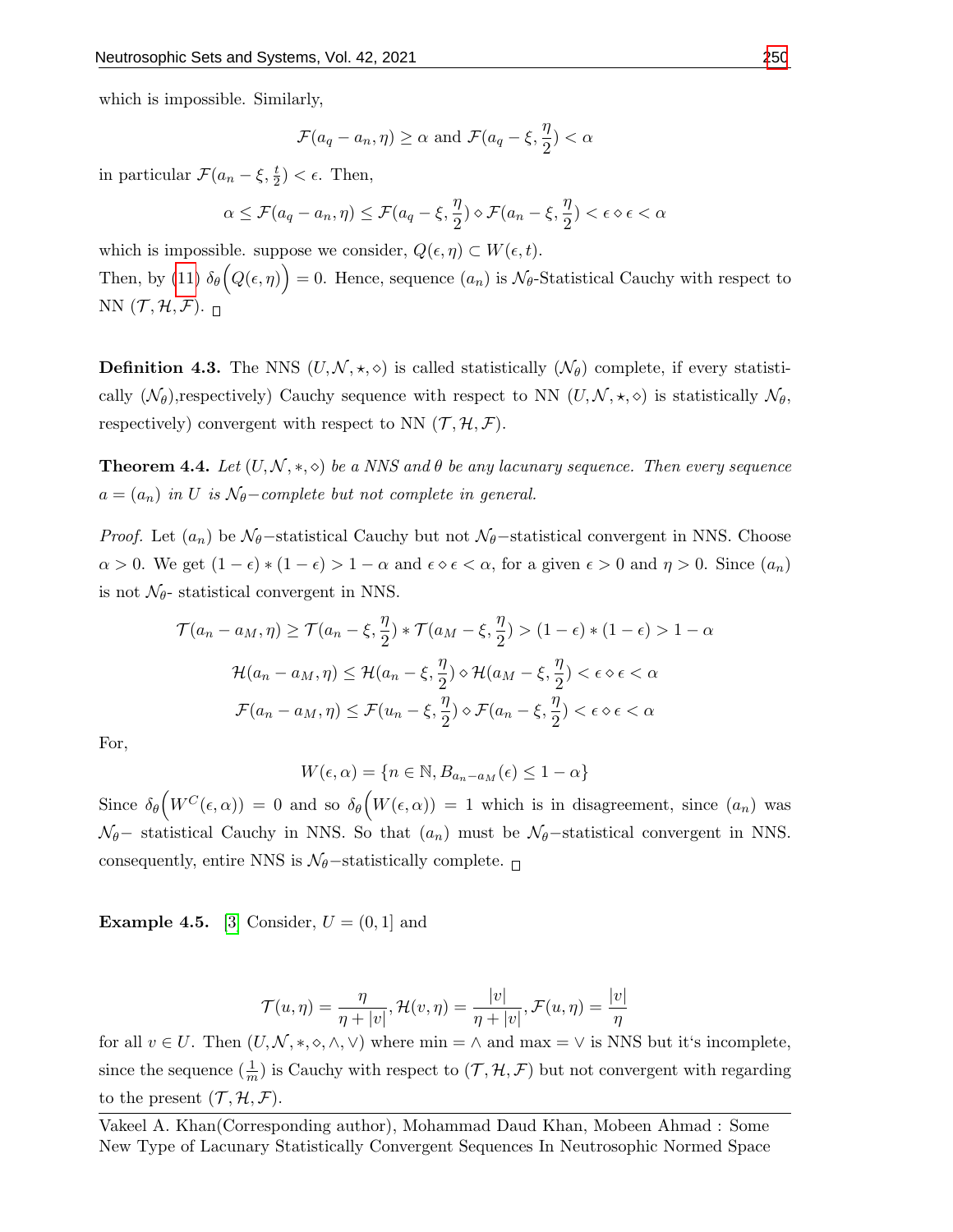which is impossible. Similarly,

$$
\mathcal{F}(a_q - a_n, \eta) \ge \alpha
$$
 and  $\mathcal{F}(a_q - \xi, \frac{\eta}{2}) < \alpha$ 

in particular  $\mathcal{F}(a_n - \xi, \frac{t}{2}) < \epsilon$ . Then,

$$
\alpha \le \mathcal{F}(a_q - a_n, \eta) \le \mathcal{F}(a_q - \xi, \frac{\eta}{2}) \diamond \mathcal{F}(a_n - \xi, \frac{\eta}{2}) < \epsilon \diamond \epsilon < \alpha
$$

which is impossible. suppose we consider,  $Q(\epsilon, \eta) \subset W(\epsilon, t)$ . Then, by [\(11\)](#page-10-0)  $\delta_{\theta}(Q(\epsilon, \eta)) = 0$ . Hence, sequence  $(a_n)$  is  $\mathcal{N}_{\theta}$ -Statistical Cauchy with respect to NN  $(\mathcal{T}, \mathcal{H}, \mathcal{F})$ .

**Definition 4.3.** The NNS  $(U, \mathcal{N}, \star, \diamond)$  is called statistically  $(\mathcal{N}_{\theta})$  complete, if every statistically  $(\mathcal{N}_{\theta})$ , respectively) Cauchy sequence with respect to NN  $(U, \mathcal{N}, \star, \diamond)$  is statistically  $\mathcal{N}_{\theta}$ , respectively) convergent with respect to NN  $(\mathcal{T}, \mathcal{H}, \mathcal{F})$ .

**Theorem 4.4.** Let  $(U, \mathcal{N}, *, \diamond)$  be a NNS and  $\theta$  be any lacunary sequence. Then every sequence  $a = (a_n)$  in U is  $\mathcal{N}_{\theta}$ -complete but not complete in general.

*Proof.* Let  $(a_n)$  be  $\mathcal{N}_{\theta}$ −statistical Cauchy but not  $\mathcal{N}_{\theta}$ −statistical convergent in NNS. Choose  $\alpha > 0$ . We get  $(1 - \epsilon) * (1 - \epsilon) > 1 - \alpha$  and  $\epsilon \circ \epsilon < \alpha$ , for a given  $\epsilon > 0$  and  $\eta > 0$ . Since  $(a_n)$ is not  $\mathcal{N}_{\theta}$ - statistical convergent in NNS.

$$
\mathcal{T}(a_n - a_M, \eta) \ge \mathcal{T}(a_n - \xi, \frac{\eta}{2}) * \mathcal{T}(a_M - \xi, \frac{\eta}{2}) > (1 - \epsilon) * (1 - \epsilon) > 1 - \alpha
$$
  

$$
\mathcal{H}(a_n - a_M, \eta) \le \mathcal{H}(a_n - \xi, \frac{\eta}{2}) \diamond \mathcal{H}(a_M - \xi, \frac{\eta}{2}) < \epsilon \diamond \epsilon < \alpha
$$
  

$$
\mathcal{F}(a_n - a_M, \eta) \le \mathcal{F}(u_n - \xi, \frac{\eta}{2}) \diamond \mathcal{F}(a_n - \xi, \frac{\eta}{2}) < \epsilon \diamond \epsilon < \alpha
$$

For,

$$
W(\epsilon, \alpha) = \{ n \in \mathbb{N}, B_{a_n - a_M}(\epsilon) \le 1 - \alpha \}
$$

Since  $\delta_{\theta}\left(W^C(\epsilon,\alpha)\right) = 0$  and so  $\delta_{\theta}\left(W(\epsilon,\alpha)\right) = 1$  which is in disagreement, since  $(a_n)$  was  $\mathcal{N}_{\theta$ − statistical Cauchy in NNS. So that  $(a_n)$  must be  $\mathcal{N}_{\theta}$ −statistical convergent in NNS.consequently, entire NNS is  $\mathcal{N}_{\theta}$ -statistically complete.  $\Box$ 

**Example 4.5.** [\[3\]](#page-12-15) Consider,  $U = (0, 1]$  and

$$
\mathcal{T}(u,\eta) = \frac{\eta}{\eta + |v|}, \mathcal{H}(v,\eta) = \frac{|v|}{\eta + |v|}, \mathcal{F}(u,\eta) = \frac{|v|}{\eta}
$$

for all  $v \in U$ . Then  $(U, \mathcal{N}, *, \diamond, \wedge, \vee)$  where  $\min = \wedge$  and  $\max = \vee$  is NNS but it's incomplete, since the sequence  $(\frac{1}{m})$  is Cauchy with respect to  $(\mathcal{T}, \mathcal{H}, \mathcal{F})$  but not convergent with regarding to the present  $(\mathcal{T}, \mathcal{H}, \mathcal{F})$ .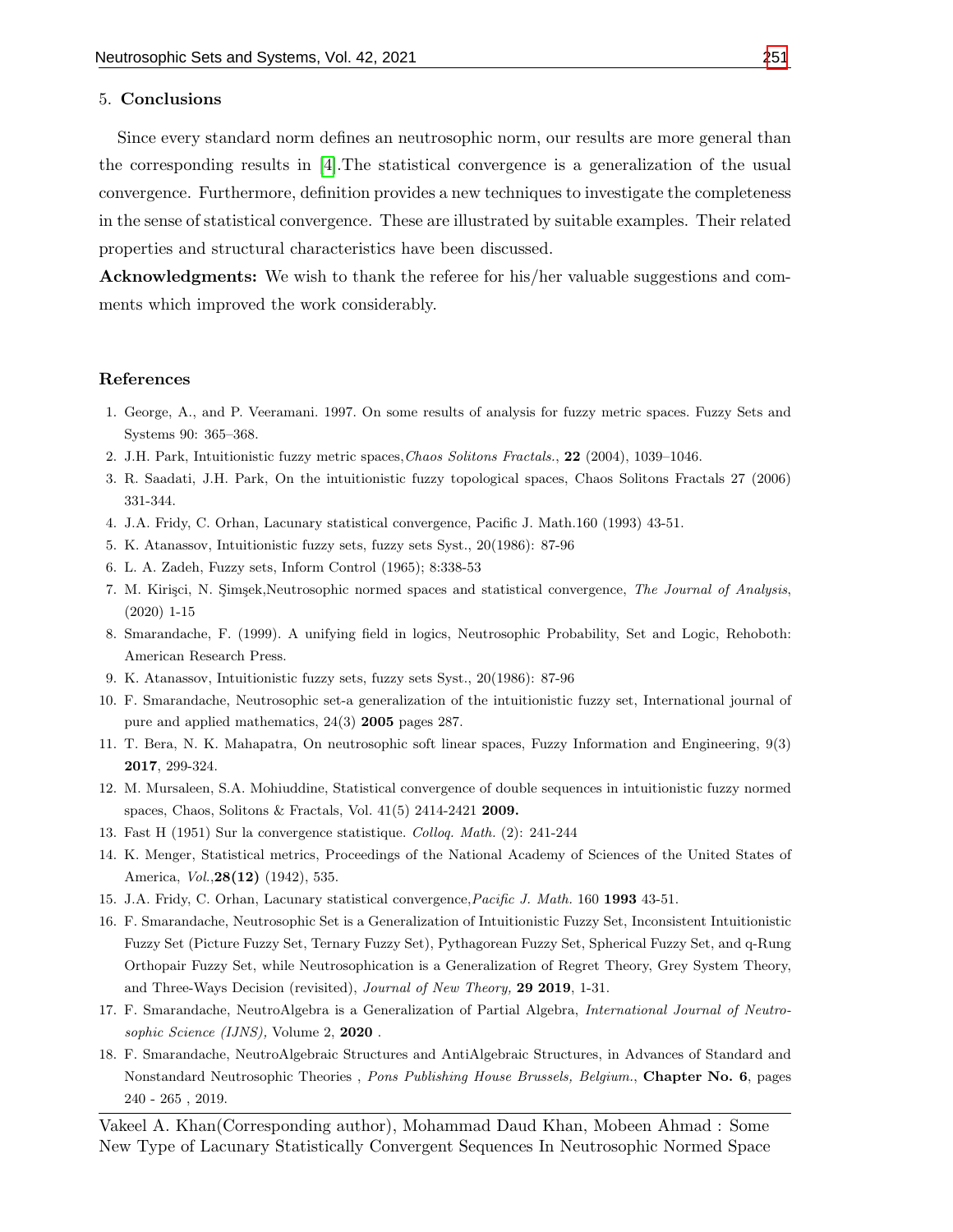#### 5. Conclusions

Since every standard norm defines an neutrosophic norm, our results are more general than the corresponding results in [\[4\]](#page-12-16).The statistical convergence is a generalization of the usual convergence. Furthermore, definition provides a new techniques to investigate the completeness in the sense of statistical convergence. These are illustrated by suitable examples. Their related properties and structural characteristics have been discussed.

Acknowledgments: We wish to thank the referee for his/her valuable suggestions and comments which improved the work considerably.

### References

- <span id="page-12-3"></span>1. George, A., and P. Veeramani. 1997. On some results of analysis for fuzzy metric spaces. Fuzzy Sets and Systems 90: 365–368.
- <span id="page-12-2"></span>2. J.H. Park, Intuitionistic fuzzy metric spaces,Chaos Solitons Fractals., 22 (2004), 1039–1046.
- <span id="page-12-15"></span>3. R. Saadati, J.H. Park, On the intuitionistic fuzzy topological spaces, Chaos Solitons Fractals 27 (2006) 331-344.
- <span id="page-12-16"></span>4. J.A. Fridy, C. Orhan, Lacunary statistical convergence, Pacific J. Math.160 (1993) 43-51.
- <span id="page-12-13"></span>5. K. Atanassov, Intuitionistic fuzzy sets, fuzzy sets Syst., 20(1986): 87-96
- <span id="page-12-0"></span>6. L. A. Zadeh, Fuzzy sets, Inform Control (1965); 8:338-53
- <span id="page-12-11"></span>7. M. Kirişci, N. Şimşek,Neutrosophic normed spaces and statistical convergence, The Journal of Analysis, (2020) 1-15
- <span id="page-12-14"></span>8. Smarandache, F. (1999). A unifying field in logics, Neutrosophic Probability, Set and Logic, Rehoboth: American Research Press.
- <span id="page-12-1"></span>9. K. Atanassov, Intuitionistic fuzzy sets, fuzzy sets Syst., 20(1986): 87-96
- <span id="page-12-4"></span>10. F. Smarandache, Neutrosophic set-a generalization of the intuitionistic fuzzy set, International journal of pure and applied mathematics, 24(3) 2005 pages 287.
- <span id="page-12-7"></span>11. T. Bera, N. K. Mahapatra, On neutrosophic soft linear spaces, Fuzzy Information and Engineering, 9(3) 2017, 299-324.
- <span id="page-12-10"></span>12. M. Mursaleen, S.A. Mohiuddine, Statistical convergence of double sequences in intuitionistic fuzzy normed spaces, Chaos, Solitons & Fractals, Vol. 41(5) 2414-2421 2009.
- <span id="page-12-8"></span>13. Fast H (1951) Sur la convergence statistique. Colloq. Math. (2): 241-244
- <span id="page-12-12"></span>14. K. Menger, Statistical metrics, Proceedings of the National Academy of Sciences of the United States of America, Vol.,28(12) (1942), 535.
- <span id="page-12-9"></span>15. J.A. Fridy, C. Orhan, Lacunary statistical convergence,Pacific J. Math. 160 1993 43-51.
- <span id="page-12-5"></span>16. F. Smarandache, Neutrosophic Set is a Generalization of Intuitionistic Fuzzy Set, Inconsistent Intuitionistic Fuzzy Set (Picture Fuzzy Set, Ternary Fuzzy Set), Pythagorean Fuzzy Set, Spherical Fuzzy Set, and q-Rung Orthopair Fuzzy Set, while Neutrosophication is a Generalization of Regret Theory, Grey System Theory, and Three-Ways Decision (revisited), Journal of New Theory, 29 2019, 1-31.
- <span id="page-12-6"></span>17. F. Smarandache, NeutroAlgebra is a Generalization of Partial Algebra, International Journal of Neutrosophic Science (IJNS), Volume 2, 2020.
- 18. F. Smarandache, NeutroAlgebraic Structures and AntiAlgebraic Structures, in Advances of Standard and Nonstandard Neutrosophic Theories , Pons Publishing House Brussels, Belgium., Chapter No. 6, pages 240 - 265 , 2019.